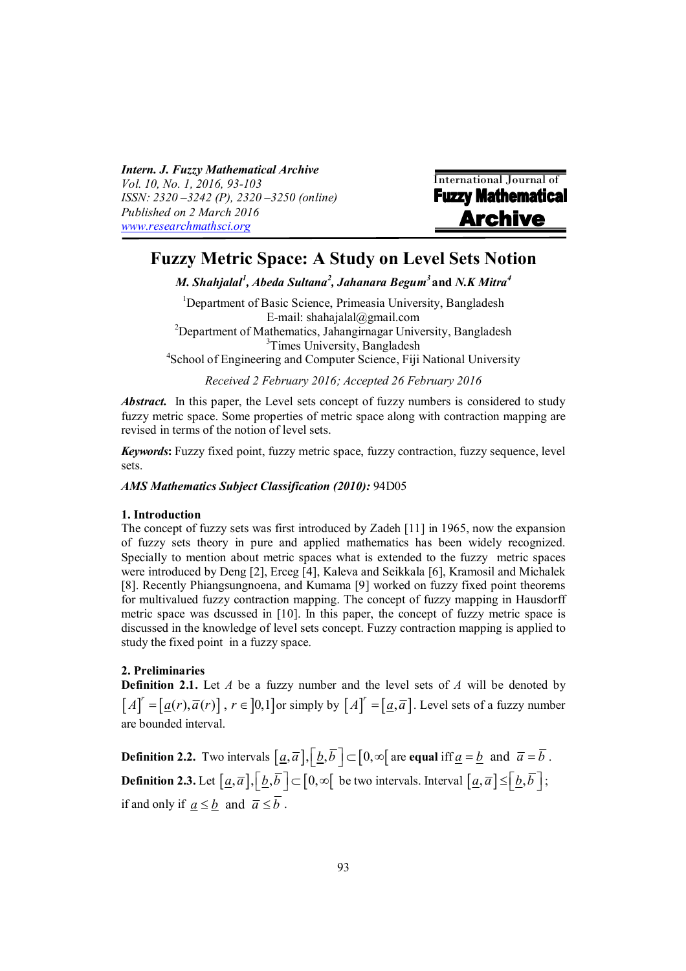*Intern. J. Fuzzy Mathematical Archive Vol. 10, No. 1, 2016, 93-103 ISSN: 2320 –3242 (P), 2320 –3250 (online) Published on 2 March 2016 [www.researchmathsci.org](http://www.researchmathsci.org)*



# **Fuzzy Metric Space: A Study on Level Sets Notion**

*M. Shahjalal<sup>1</sup> , Abeda Sultana<sup>2</sup> , Jahanara Begum<sup>3</sup>* **and** *N.K Mitra<sup>4</sup>*

<sup>1</sup>Department of Basic Science, Primeasia University, Bangladesh E-mail: [shahajalal@gmail.com](mailto:shahajalal@gmail.com) <sup>2</sup>Department of Mathematics, Jahangirnagar University, Bangladesh <sup>3</sup>Times University, Bangladesh

4 School of Engineering and Computer Science, Fiji National University

*Received 2 February 2016; Accepted 26 February 2016*

*Abstract.* In this paper, the Level sets concept of fuzzy numbers is considered to study fuzzy metric space. Some properties of metric space along with contraction mapping are revised in terms of the notion of level sets.

*Keywords***:** Fuzzy fixed point, fuzzy metric space, fuzzy contraction, fuzzy sequence, level sets.

*AMS Mathematics Subject Classification (2010):* 94D05

#### **1. Introduction**

The concept of fuzzy sets was first introduced by Zadeh [11] in 1965, now the expansion of fuzzy sets theory in pure and applied mathematics has been widely recognized. Specially to mention about metric spaces what is extended to the fuzzy metric spaces were introduced by Deng [2], Erceg [4], Kaleva and Seikkala [6], Kramosil and Michalek [8]. Recently Phiangsungnoena, and Kumama [9] worked on fuzzy fixed point theorems for multivalued fuzzy contraction mapping. The concept of fuzzy mapping in Hausdorff metric space was dscussed in [10]. In this paper, the concept of fuzzy metric space is discussed in the knowledge of level sets concept. Fuzzy contraction mapping is applied to study the fixed point in a fuzzy space.

### **2. Preliminaries**

**Definition 2.1.** Let *A* be a fuzzy number and the level sets of *A* will be denoted by  $[A]^{r} = [\underline{a}(r), \overline{a}(r)]$ ,  $r \in [0,1]$  or simply by  $[A]^{r} = [\underline{a}, \overline{a}]$ . Level sets of a fuzzy number are bounded interval.

**Definition 2.2.** Two intervals  $\left[\underline{a}, \overline{a}\right], \left[\underline{b}, \overline{b}\right] \subset \left[0, \infty\right]$  are **equal** iff  $\underline{a} = \underline{b}$  and  $\overline{a} = \overline{b}$ . **Definition 2.3.** Let  $\left[\underline{a}, \overline{a}\right], \left[\underline{b}, \overline{b}\right] \subset \left[0, \infty\right[$  be two intervals. Interval  $\left[\underline{a}, \overline{a}\right] \leq \left[\underline{b}, \overline{b}\right]$ ; if and only if  $a \leq b$  and  $\overline{a} \leq \overline{b}$ .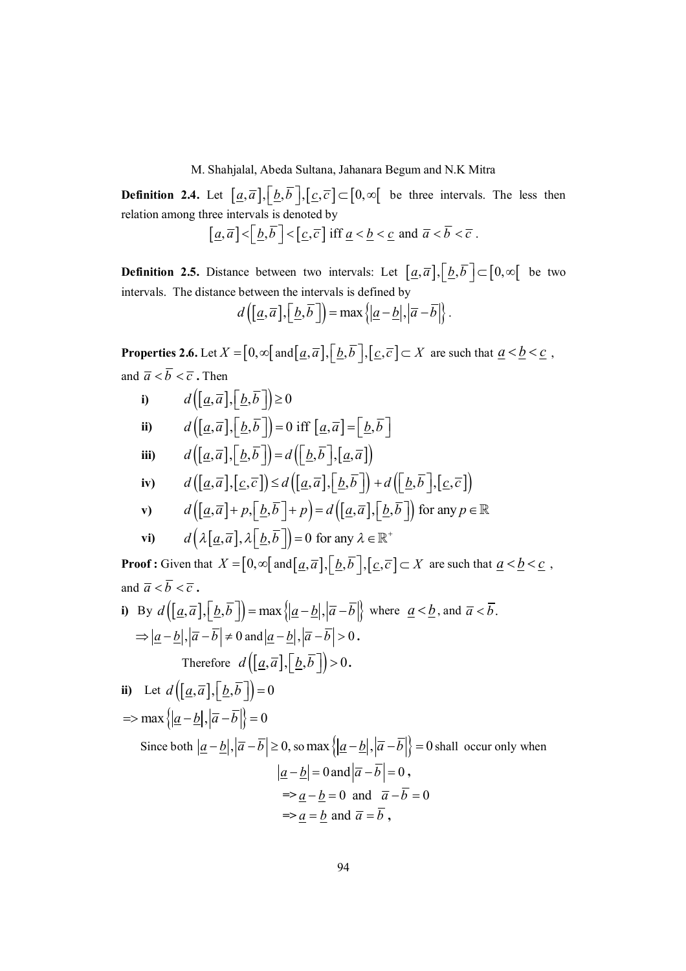**Definition 2.4.** Let  $[\underline{a}, \overline{a}]$ ,  $[\underline{b}, \overline{b}]$ ,  $[\underline{c}, \overline{c}] \subset [0, \infty[$  be three intervals. The less then relation among three intervals is denoted by

$$
\left[\underline{a}, \overline{a}\right] < \left[\underline{b}, \overline{b}\right] < \left[\underline{c}, \overline{c}\right] \text{ iff } \underline{a} < \underline{b} < \underline{c} \text{ and } \overline{a} < \overline{b} < \overline{c}.
$$

**Definition 2.5.** Distance between two intervals: Let  $[\underline{a}, \overline{a}]$ ,  $[\underline{b}, \overline{b}] \subset [0, \infty[$  be two intervals. The distance between the intervals is defined by

$$
d\left(\left[\underline{a},\overline{a}\right],\left[\underline{b},\overline{b}\right]\right)=\max\left\{\left|\underline{a}-\underline{b}\right|,\left|\overline{a}-\overline{b}\right|\right\}.
$$

**Properties 2.6.** Let  $X = [0, \infty)$  and  $[\underline{a}, \overline{a}]$ ,  $[\underline{b}, \overline{b}]$ ,  $[\underline{c}, \overline{c}] \subset X$  are such that  $\underline{a} < \underline{b} < \underline{c}$ , and  $\overline{a} < \overline{b} < \overline{c}$ . Then

i) 
$$
d([a,\overline{a}],[\underline{b},\overline{b}]) \ge 0
$$
  
\nii)  $d([a,\overline{a}],[\underline{b},\overline{b}]) = 0$  iff  $[\underline{a},\overline{a}] = [\underline{b},\overline{b}]$   
\niii)  $d([\underline{a},\overline{a}],[\underline{b},\overline{b}]) = d([\underline{b},\overline{b}],[\underline{a},\overline{a}])$   
\niv)  $d([\underline{a},\overline{a}],[\underline{c},\overline{c}]) \le d([\underline{a},\overline{a}],[\underline{b},\overline{b}]) + d([\underline{b},\overline{b}],[\underline{c},\overline{c}])$   
\nv)  $d([\underline{a},\overline{a}]+p,[\underline{b},\overline{b}]+p) = d([\underline{a},\overline{a}],[\underline{b},\overline{b}])$  for any  $p \in \mathbb{R}$ 

$$
d\left(\lambda[\underline{a},\overline{a}],\lambda[\underline{b},\overline{b}]\right) = 0 \text{ for any } \lambda \in \mathbb{R}^+
$$

**Proof :** Given that  $X = [0, \infty)$  and  $[\underline{a}, \overline{a}]$ ,  $[\underline{b}, \overline{b}]$ ,  $[\underline{c}, \overline{c}] \subset X$  are such that  $\underline{a} < \underline{b} < \underline{c}$ , and  $\overline{a} < \overline{b} < \overline{c}$ .

i) By 
$$
d([a, \overline{a}], [b, \overline{b}]) = \max\{|a-b|, |\overline{a}-\overline{b}|\}
$$
 where  $a < b$ , and  $\overline{a} < \overline{b}$ .  
\n $\Rightarrow |a-b|, |\overline{a}-\overline{b}| \neq 0$  and  $|a-b|, |\overline{a}-\overline{b}| > 0$ .  
\nTherefore  $d([a, \overline{a}], [b, \overline{b}]) > 0$ .

ii) Let 
$$
d([a, \overline{a}], [\underline{b}, \overline{b}]) = 0
$$
  
\n $\Rightarrow$  max  $\{|a - \underline{b}|, |\overline{a} - \overline{b}|\} = 0$   
\nSince both  $|\underline{a} - \underline{b}|, |\overline{a} - \overline{b}| \ge 0$ , so max  $\{|a - \underline{b}|, |\overline{a} - \overline{b}|\} = 0$  shall occur only when  
\n $|\underline{a} - \underline{b}| = 0$  and  $|\overline{a} - \overline{b}| = 0$ ,  
\n $\Rightarrow \underline{a} - \underline{b} = 0$  and  $\overline{a} - \overline{b} = 0$   
\n $\Rightarrow \underline{a} = \underline{b}$  and  $\overline{a} = \overline{b}$ ,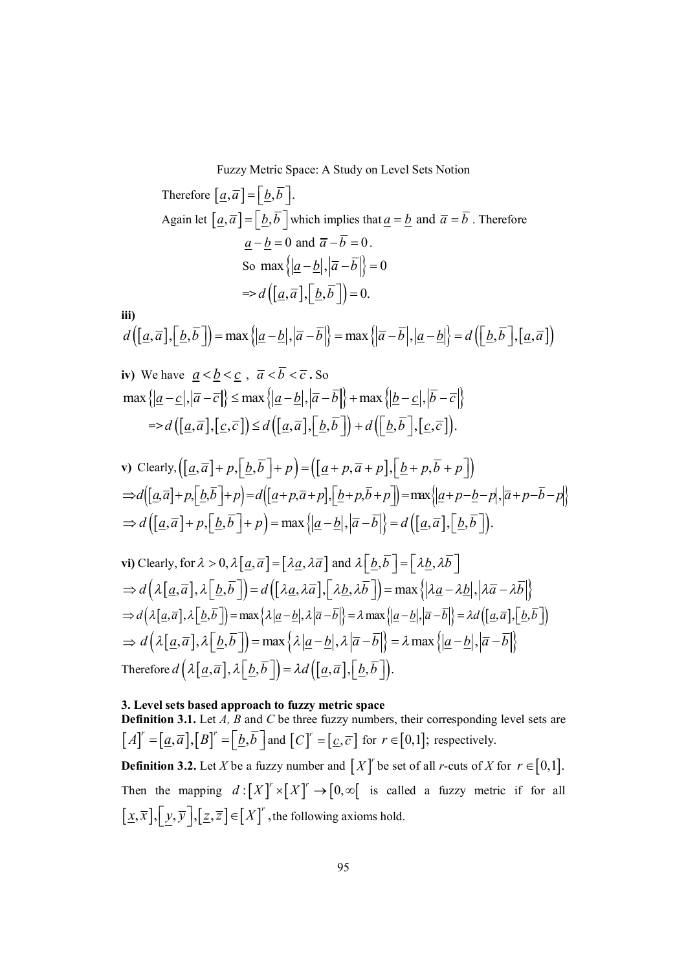Therefore 
$$
[\underline{a}, \overline{a}] = [\underline{b}, \overline{b}]
$$
.  
\nAgain let  $[\underline{a}, \overline{a}] = [\underline{b}, \overline{b}]$  which implies that  $\underline{a} = \underline{b}$  and  $\overline{a} = \overline{b}$ . Therefore  
\n $\underline{a} - \underline{b} = 0$  and  $\overline{a} - \overline{b} = 0$ .  
\nSo  $\max \{ |\underline{a} - \underline{b}|, |\overline{a} - \overline{b}| \} = 0$   
\n $\Rightarrow d ([\underline{a}, \overline{a}], [\underline{b}, \overline{b}]) = 0$ .

$$
d\left(\left[\underline{a},\overline{a}\right],\left[\underline{b},\overline{b}\right]\right) = \max\left\{\left|\underline{a}-\underline{b}\right|,\left|\overline{a}-\overline{b}\right|\right\} = \max\left\{\left|\overline{a}-\overline{b}\right|,\left|\underline{a}-\underline{b}\right|\right\} = d\left(\left[\underline{b},\overline{b}\right],\left[\underline{a},\overline{a}\right]\right)
$$

iv) We have 
$$
\underline{a} < \underline{b} < \underline{c}
$$
,  $\overline{a} < \overline{b} < \overline{c}$ . So  
\n
$$
\max \{ |\underline{a} - \underline{c}|, |\overline{a} - \overline{c}| \} \le \max \{ |\underline{a} - \underline{b}|, |\overline{a} - \overline{b}| \} + \max \{ |\underline{b} - \underline{c}|, |\overline{b} - \overline{c}| \}
$$
\n
$$
= > d \left( [\underline{a}, \overline{a}], [\underline{c}, \overline{c}] \right) \le d \left( [\underline{a}, \overline{a}], [\underline{b}, \overline{b}]\right) + d \left( [\underline{b}, \overline{b}], [\underline{c}, \overline{c}]\right).
$$

**iii)**

v) Clearly, 
$$
\left( [\underline{a}, \overline{a}] + p, [\underline{b}, \overline{b}] + p \right) = \left( [\underline{a} + p, \overline{a} + p], [\underline{b} + p, \overline{b} + p] \right)
$$
  
\n $\Rightarrow d \left( [\underline{a}, \overline{a}] + p, [\underline{b}, \overline{b}] + p \right) = d \left( [\underline{a} + p, \overline{a} + p], [\underline{b} + p, \overline{b} + p] \right) = \max \{ |\underline{a} + p - \underline{b} - p|, |\overline{a} + p - \overline{b} - p| \}$   
\n $\Rightarrow d \left( [\underline{a}, \overline{a}] + p, [\underline{b}, \overline{b}] + p \right) = \max \{ |\underline{a} - \underline{b}|, |\overline{a} - \overline{b}| \} = d \left( [\underline{a}, \overline{a}], [\underline{b}, \overline{b}] \right).$ 

vi) Clearly, for 
$$
\lambda > 0
$$
,  $\lambda [\underline{a}, \overline{a}] = [\lambda \underline{a}, \lambda \overline{a}]$  and  $\lambda [\underline{b}, \overline{b}] = [\lambda \underline{b}, \lambda \overline{b}]$   
\n $\Rightarrow d(\lambda [\underline{a}, \overline{a}], \lambda [\underline{b}, \overline{b}]) = d([\lambda \underline{a}, \lambda \overline{a}], [\lambda \underline{b}, \lambda \overline{b}]) = \max \{ |\lambda \underline{a} - \lambda \underline{b}|, |\lambda \overline{a} - \lambda \overline{b}| \}$   
\n $\Rightarrow d(\lambda [\underline{a}, \overline{a}], \lambda [\underline{b}, \overline{b}]) = \max \{ \lambda |\underline{a} - \underline{b}|, \lambda |\overline{a} - \overline{b}| \} = \lambda \max \{ |\underline{a} - \underline{b}|, |\overline{a} - \overline{b}| \} = \lambda d([\underline{a}, \overline{a}], [\underline{b}, \overline{b}])$   
\n $\Rightarrow d(\lambda [\underline{a}, \overline{a}], \lambda [\underline{b}, \overline{b}]) = \max \{ \lambda |\underline{a} - \underline{b}|, \lambda |\overline{a} - \overline{b}| \} = \lambda \max \{ |\underline{a} - \underline{b}|, |\overline{a} - \overline{b}| \}$   
\nTherefore  $d(\lambda [\underline{a}, \overline{a}], \lambda [\underline{b}, \overline{b}]) = \lambda d([\underline{a}, \overline{a}], [\underline{b}, \overline{b}]).$ 

# **3. Level sets based approach to fuzzy metric space**

**Definition 3.1.** Let *A*, *B* and *C* be three fuzzy numbers, their corresponding level sets are  $[A]^{r} = [\underline{a}, \overline{a}]$ ,  $[B]^{r} = [\underline{b}, \overline{b}]$  and  $[C]^{r} = [\underline{c}, \overline{c}]$  for  $r \in [0,1]$ ; respectively.

**Definition 3.2.** Let *X* be a fuzzy number and  $[X]^r$  be set of all *r*-cuts of *X* for  $r \in [0,1]$ . Then the mapping  $d: [X]^r \times [X]^r \rightarrow [0, \infty[$  is called a fuzzy metric if for all  $[\underline{x}, \overline{x}], [\underline{y}, \overline{y}], [\underline{z}, \overline{z}] \in [X]^r$ , the following axioms hold.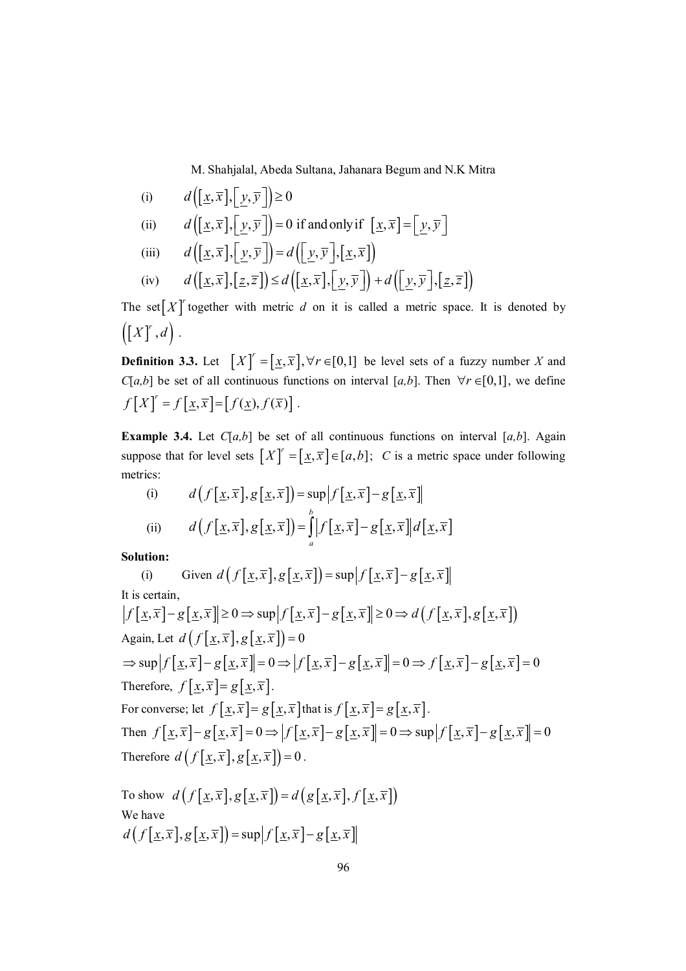(i) 
$$
d([\underline{x}, \overline{x}], [\underline{y}, \overline{y}]) \ge 0
$$

(ii) 
$$
d([x,\overline{x}],[y,\overline{y}]) = 0
$$
 if and only if  $[x,\overline{x}] = [y,\overline{y}]$ 

(iii) 
$$
d([\underline{x}, \overline{x}], [\underline{y}, \overline{y}]) = d([\underline{y}, \overline{y}], [\underline{x}, \overline{x}])
$$

(iv) 
$$
d([\underline{x}, \overline{x}], [\underline{z}, \overline{z}]) \leq d([\underline{x}, \overline{x}], [\underline{y}, \overline{y}]) + d([\underline{y}, \overline{y}], [\underline{z}, \overline{z}])
$$

The set  $[X]$ <sup>r</sup> together with metric *d* on it is called a metric space. It is denoted by  $\left( \left[ X\right] ^{r},d\right)$  .

**Definition 3.3.** Let  $[X]^r = [\underline{x}, \overline{x}]$ ,  $\forall r \in [0,1]$  be level sets of a fuzzy number *X* and *C*[*a,b*] be set of all continuous functions on interval [*a,b*]. Then  $\forall r \in [0,1]$ , we define  $f[X] = f[\underline{x}, \overline{x}] = [f(\underline{x}), f(\overline{x})].$ 

**Example 3.4.** Let  $C[a,b]$  be set of all continuous functions on interval [a,b]. Again suppose that for level sets  $[X]^{r} = [\underline{x}, \overline{x}] \in [a, b]$ ; *C* is a metric space under following metrics:

(i) 
$$
d(f[\underline{x}, \overline{x}], g[\underline{x}, \overline{x}]) = \sup |f[\underline{x}, \overline{x}] - g[\underline{x}, \overline{x}]|
$$
  
(ii) 
$$
d(f[\underline{x}, \overline{x}], g[\underline{x}, \overline{x}]) = \int_{a}^{b} |f[\underline{x}, \overline{x}] - g[\underline{x}, \overline{x}]| d[\underline{x}, \overline{x}]
$$

**Solution:**

(i) Given 
$$
d(f[\underline{x}, \overline{x}], g[\underline{x}, \overline{x}]) = \sup |f[\underline{x}, \overline{x}] - g[\underline{x}, \overline{x}]|
$$
  
\nIt is certain,  
\n
$$
|f[\underline{x}, \overline{x}] - g[\underline{x}, \overline{x}]| \ge 0 \Rightarrow \sup |f[\underline{x}, \overline{x}] - g[\underline{x}, \overline{x}]| \ge 0 \Rightarrow d(f[\underline{x}, \overline{x}], g[\underline{x}, \overline{x}])
$$
\nAgain, Let  $d(f[\underline{x}, \overline{x}], g[\underline{x}, \overline{x}]) = 0$   
\n
$$
\Rightarrow \sup |f[\underline{x}, \overline{x}] - g[\underline{x}, \overline{x}]| = 0 \Rightarrow |f[\underline{x}, \overline{x}] - g[\underline{x}, \overline{x}]| = 0 \Rightarrow f[\underline{x}, \overline{x}] - g[\underline{x}, \overline{x}] = 0
$$
\nTherefore,  $f[\underline{x}, \overline{x}] = g[\underline{x}, \overline{x}].$   
\nFor converse; let  $f[\underline{x}, \overline{x}] = g[\underline{x}, \overline{x}]$  that is  $f[\underline{x}, \overline{x}] = g[\underline{x}, \overline{x}].$   
\nThen  $f[\underline{x}, \overline{x}] - g[\underline{x}, \overline{x}] = 0 \Rightarrow |f[\underline{x}, \overline{x}] - g[\underline{x}, \overline{x}]| = 0 \Rightarrow \sup |f[\underline{x}, \overline{x}] - g[\underline{x}, \overline{x}]| = 0$   
\nTherefore  $d(f[\underline{x}, \overline{x}], g[\underline{x}, \overline{x}]) = 0$ .

To show 
$$
d(f[\underline{x}, \overline{x}], g[\underline{x}, \overline{x}]) = d(g[\underline{x}, \overline{x}], f[\underline{x}, \overline{x}])
$$
  
We have  
 $d(f[\underline{x}, \overline{x}], g[\underline{x}, \overline{x}]) = \sup |f[\underline{x}, \overline{x}] - g[\underline{x}, \overline{x}]]$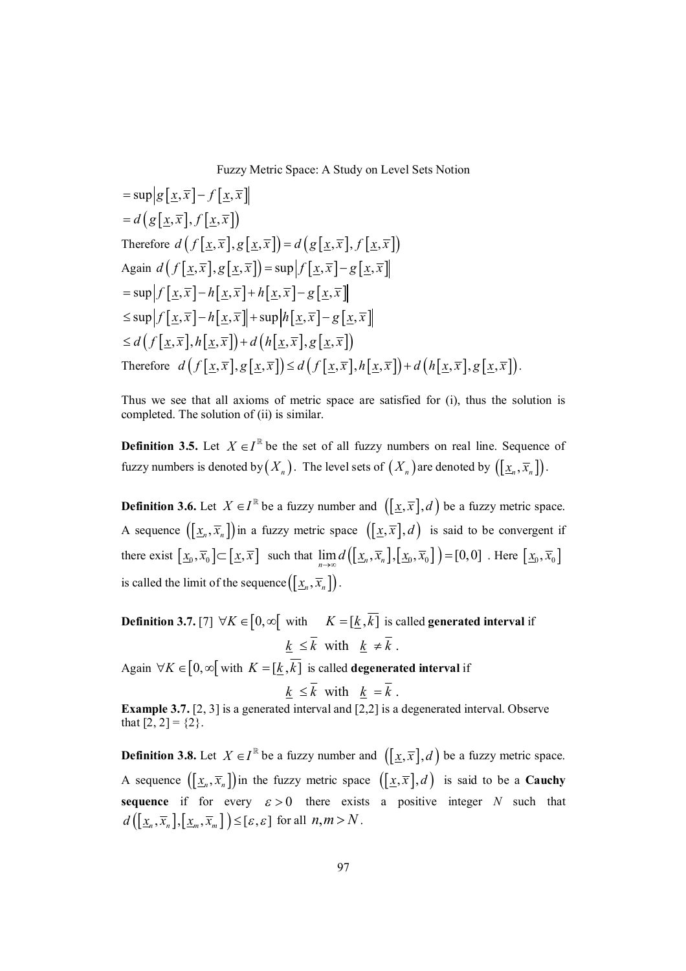$$
= \sup |g[\underline{x}, \overline{x}] - f[\underline{x}, \overline{x}]|
$$
  
\n
$$
= d(g[\underline{x}, \overline{x}], f[\underline{x}, \overline{x}])
$$
  
\nTherefore  $d(f[\underline{x}, \overline{x}], g[\underline{x}, \overline{x}]) = d(g[\underline{x}, \overline{x}], f[\underline{x}, \overline{x}])$   
\nAgain  $d(f[\underline{x}, \overline{x}], g[\underline{x}, \overline{x}]) = \sup |f[\underline{x}, \overline{x}] - g[\underline{x}, \overline{x}]]$   
\n
$$
= \sup |f[\underline{x}, \overline{x}] - h[\underline{x}, \overline{x}] + h[\underline{x}, \overline{x}] - g[\underline{x}, \overline{x}]]
$$
  
\n
$$
\leq \sup |f[\underline{x}, \overline{x}] - h[\underline{x}, \overline{x}] + \sup |h[\underline{x}, \overline{x}] - g[\underline{x}, \overline{x}]]
$$
  
\n
$$
\leq d(f[\underline{x}, \overline{x}], h[\underline{x}, \overline{x}]) + d(h[\underline{x}, \overline{x}], g[\underline{x}, \overline{x}])
$$
  
\nTherefore  $d(f[\underline{x}, \overline{x}], g[\underline{x}, \overline{x}]) \leq d(f[\underline{x}, \overline{x}], h[\underline{x}, \overline{x}]) + d(h[\underline{x}, \overline{x}], g[\underline{x}, \overline{x}]).$ 

Thus we see that all axioms of metric space are satisfied for (i), thus the solution is completed. The solution of (ii) is similar.

**Definition 3.5.** Let  $X \in I^{\mathbb{R}}$  be the set of all fuzzy numbers on real line. Sequence of fuzzy numbers is denoted by  $(X_n)$ . The level sets of  $(X_n)$  are denoted by  $([\underline{x}_n, \overline{x}_n])$ .

**Definition 3.6.** Let  $X \in I^{\mathbb{R}}$  be a fuzzy number and  $([\underline{x}, \overline{x}], d)$  be a fuzzy metric space. A sequence  $([\underline{x}_n, \overline{x}_n])$  in a fuzzy metric space  $([\underline{x}, \overline{x}], d)$  is said to be convergent if there exist  $\left[\underline{x}_0, \overline{x}_0\right] \subset \left[\underline{x}, \overline{x}\right]$  such that  $\lim_{n \to \infty} d\left(\left[\underline{x}_n, \overline{x}_n\right], \left[\underline{x}_0, \overline{x}_0\right]\right) = [0, 0]$ . Here  $\left[\underline{x}_0, \overline{x}_0\right]$ is called the limit of the sequence  $(\left[\frac{x}{n}, \overline{x}_n\right])$ .

**Definition 3.7.** [7]  $\forall K \in [0, \infty[$  with  $K = [\underline{k}, \overline{k}]$  is called **generated interval** if  $k \leq \overline{k}$  with  $k \neq \overline{k}$ .

Again  $\forall K \in [0, \infty[$  with  $K = [\underline{k}, \overline{k}]$  is called **degenerated interval** if

$$
\underline{k} \leq k \quad \text{with} \quad \underline{k} = k \ .
$$

**Example 3.7.** [2, 3] is a generated interval and [2,2] is a degenerated interval. Observe that  $[2, 2] = \{2\}$ .

**Definition 3.8.** Let  $X \in I^{\mathbb{R}}$  be a fuzzy number and  $([\underline{x}, \overline{x}], d)$  be a fuzzy metric space. A sequence  $([\underline{x}_n, \overline{x}_n])$  in the fuzzy metric space  $([\underline{x}, \overline{x}], d)$  is said to be a **Cauchy sequence** if for every  $\varepsilon > 0$  there exists a positive integer *N* such that  $d\left(\left[\underline{x}_n,\overline{x}_n\right],\left[\underline{x}_m,\overline{x}_m\right]\right) \leq [\varepsilon,\varepsilon]$  for all  $n,m > N$ .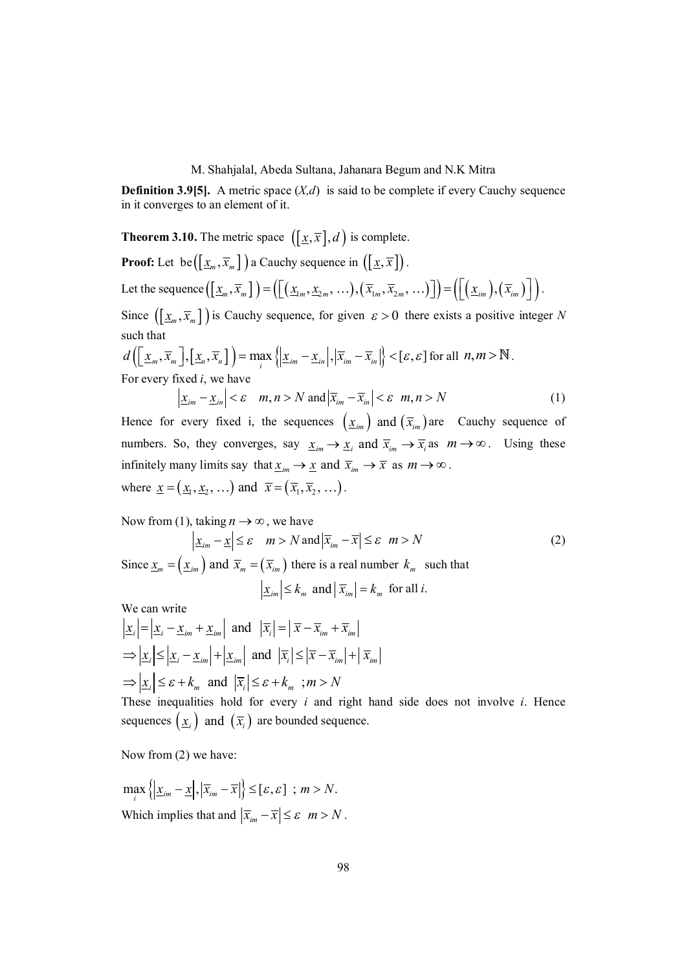**Definition 3.9[5].** A metric space  $(X,d)$  is said to be complete if every Cauchy sequence in it converges to an element of it.

**Theorem 3.10.** The metric space  $([\underline{x}, \overline{x}], d)$  is complete.

**Proof:** Let be  $([\underline{x}_m, \overline{x}_m])$  a Cauchy sequence in  $([\underline{x}, \overline{x}])$ . Let the sequence  $(\lfloor \underline{x}_m, \overline{x}_m \rfloor) = (\lfloor (\underline{x}_m, \underline{x}_{2m}, \ldots), (\overline{x}_{1m}, \overline{x}_{2m}, \ldots) \rfloor) = (\lfloor (\underline{x}_{1m}), (\overline{x}_{1m}) \rfloor).$ Since  $([\underline{x}_m, \overline{x}_m])$  is Cauchy sequence, for given  $\varepsilon > 0$  there exists a positive integer N such that

$$
d\left(\left[\underline{x}_m, \overline{x}_m\right], \left[\underline{x}_n, \overline{x}_n\right]\right) = \max_i \left\{\left|\underline{x}_{im} - \underline{x}_{in}\right|, \left|\overline{x}_{im} - \overline{x}_{in}\right|\right\} < \left[\varepsilon, \varepsilon\right] \text{ for all } n, m > \mathbb{N}.
$$
\nFor every fixed *i*, we have

$$
\left|\underline{x}_{im} - \underline{x}_{in}\right| < \varepsilon \quad m, n > N \text{ and } \left|\overline{x}_{im} - \overline{x}_{in}\right| < \varepsilon \quad m, n > N \tag{1}
$$

Hence for every fixed i, the sequences  $(x_{im})$  and  $(\bar{x}_{im})$  are Cauchy sequence of numbers. So, they converges, say  $\underline{x}_{im} \to \underline{x}_i$  and  $\overline{x}_{im} \to \overline{x}_i$  as  $m \to \infty$ . Using these infinitely many limits say that  $\underline{x}_{im} \to \underline{x}$  and  $\overline{x}_{im} \to \overline{x}$  as  $m \to \infty$ . where  $\underline{x} = (\underline{x}_1, \underline{x}_2, \ldots)$  and  $\overline{x} = (\overline{x}_1, \overline{x}_2, \ldots)$ .

Now from (1), taking 
$$
n \to \infty
$$
, we have

$$
\left|\underline{x}_{im} - \underline{x}\right| \leq \varepsilon \quad m > N \text{ and } \left|\overline{x}_{im} - \overline{x}\right| \leq \varepsilon \quad m > N \tag{2}
$$
  
Since  $\underline{x}_{m} = \left(\underline{x}_{im}\right)$  and  $\overline{x}_{m} = \left(\overline{x}_{im}\right)$  there is a real number  $k_{m}$  such that  
 $\left|\underline{x}_{im}\right| \leq k_{m}$  and  $\left|\overline{x}_{im}\right| = k_{m}$  for all *i*.

We can write

$$
\left| \underline{x}_{i} \right| = \left| \underline{x}_{i} - \underline{x}_{im} + \underline{x}_{im} \right| \text{ and } \left| \overline{x}_{i} \right| = \left| \overline{x} - \overline{x}_{im} + \overline{x}_{im} \right|
$$
  
\n
$$
\Rightarrow \left| \underline{x}_{i} \right| \leq \left| \underline{x}_{i} - \underline{x}_{im} \right| + \left| \underline{x}_{im} \right| \text{ and } \left| \overline{x}_{i} \right| \leq \left| \overline{x} - \overline{x}_{im} \right| + \left| \overline{x}_{im} \right|
$$
  
\n
$$
\Rightarrow \left| \underline{x}_{i} \right| \leq \varepsilon + k_{m} \text{ and } \left| \overline{x}_{i} \right| \leq \varepsilon + k_{m} ; m > N
$$

These inequalities hold for every *i* and right hand side does not involve *i*. Hence sequences  $(\underline{x}_i)$  and  $(\overline{x}_i)$  are bounded sequence.

Now from (2) we have:

 $\max_{i} \left\{ \left| \underline{x}_{im} - \underline{x} \right|, \left| \overline{x}_{im} - \overline{x} \right| \right\} \leq [\varepsilon, \varepsilon]$ ;  $m > N$ . Which implies that and  $|\overline{x}_{im} - \overline{x}| \le \varepsilon$  *m* > *N*.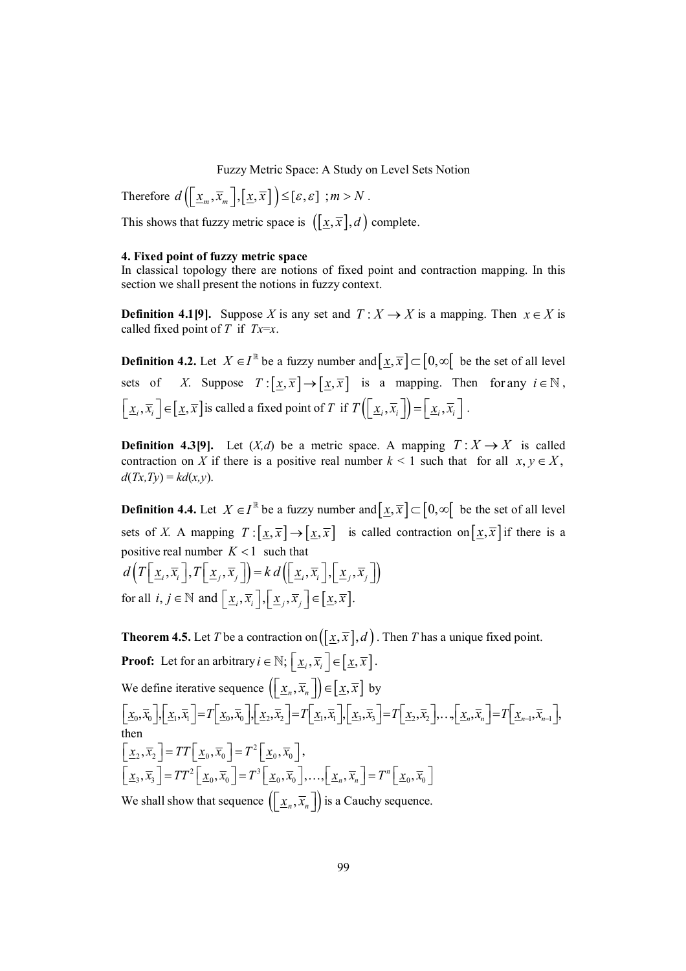Therefore  $d\left(\left\lfloor \frac{x_m}{x_m}, \overline{x}_m \right\rfloor, \left\lfloor \frac{x}{x} \right\rfloor \right) \leq [\varepsilon, \varepsilon]$ ;  $m > N$ .

This shows that fuzzy metric space is  $([x, \overline{x}], d)$  complete.

#### **4. Fixed point of fuzzy metric space**

In classical topology there are notions of fixed point and contraction mapping. In this section we shall present the notions in fuzzy context.

**Definition 4.1[9].** Suppose *X* is any set and  $T: X \rightarrow X$  is a mapping. Then  $x \in X$  is called fixed point of *T* if *Tx*=*x*.

**Definition 4.2.** Let  $X \in I^{\mathbb{R}}$  be a fuzzy number and  $[\underline{x}, \overline{x}] \subset [0, \infty]$  be the set of all level sets of *X*. Suppose  $T : [x, \overline{x}] \rightarrow [x, \overline{x}]$  is a mapping. Then for any  $i \in \mathbb{N}$ ,  $\left[\underline{x}_i, \overline{x}_i\right] \in \left[\underline{x}, \overline{x}\right]$  is called a fixed point of *T* if  $T\left(\left[\underline{x}_i, \overline{x}_i\right]\right) = \left[\underline{x}_i, \overline{x}_i\right]$ .

**Definition 4.3[9].** Let  $(X,d)$  be a metric space. A mapping  $T: X \rightarrow X$  is called contraction on *X* if there is a positive real number  $k < 1$  such that for all  $x, y \in X$ ,  $d(Tx,Ty) = kd(x,y)$ .

**Definition 4.4.** Let  $X \in I^{\mathbb{R}}$  be a fuzzy number and  $[\underline{x}, \overline{x}] \subset [0, \infty]$  be the set of all level sets of *X*. A mapping  $T : [\underline{x}, \overline{x}] \rightarrow [\underline{x}, \overline{x}]$  is called contraction on  $[\underline{x}, \overline{x}]$  if there is a positive real number  $K < 1$  such that

$$
d\left(T\left[\underline{x}_i,\overline{x}_i\right],T\left[\underline{x}_j,\overline{x}_j\right]\right)=k d\left(\left[\underline{x}_i,\overline{x}_i\right],\left[\underline{x}_j,\overline{x}_j\right]\right)
$$
  
for all  $i, j \in \mathbb{N}$  and  $\left[\underline{x}_i,\overline{x}_i\right],\left[\underline{x}_j,\overline{x}_j\right] \in \left[\underline{x},\overline{x}\right]$ .

**Theorem 4.5.** Let *T* be a contraction on  $([x, \overline{x}], d)$ . Then *T* has a unique fixed point. **Proof:** Let for an arbitrary  $i \in \mathbb{N}$ ;  $\left[\underline{x}_i, \overline{x}_i\right] \in \left[\underline{x}, \overline{x}\right]$ . We define iterative sequence  $\left(\left[\frac{x}{n}, \overline{x}_n\right]\right) \in \left[\frac{x}{n}, \overline{x}\right]$  by  $\underline{x}_0, \overline{x}_0$ ,  $\underline{x}_1, \overline{x}_1$  =  $T$   $\underline{x}_0, \overline{x}_0$ ,  $\underline{x}_1, \underline{x}_2, \overline{x}_2$  =  $T$   $\underline{x}_1, \overline{x}_1$ ,  $\underline{x}_2, \overline{x}_3$  =  $T$   $\underline{x}_2, \overline{x}_2$   $\cdots$ ,  $\underline{x}_n, \overline{x}_n$  =  $T$   $\underline{x}_{n-1}, \overline{x}_{n-1}$ , then  $\left[ \underline{x}_2, \overline{x}_2 \right] = TT \left[ \underline{x}_0, \overline{x}_0 \right] = T^2 \left[ \underline{x}_0, \overline{x}_0 \right],$  $\left[ \underline{x}_3, \overline{x}_3 \right] = TT^2 \left[ \underline{x}_0, \overline{x}_0 \right] = T^3 \left[ \underline{x}_0, \overline{x}_0 \right], \ldots, \left[ \underline{x}_n, \overline{x}_n \right] = T^n \left[ \underline{x}_0, \overline{x}_0 \right]$ We shall show that sequence  $\left( \left[ \underline{x}_n, \overline{x}_n \right] \right)$  is a Cauchy sequence.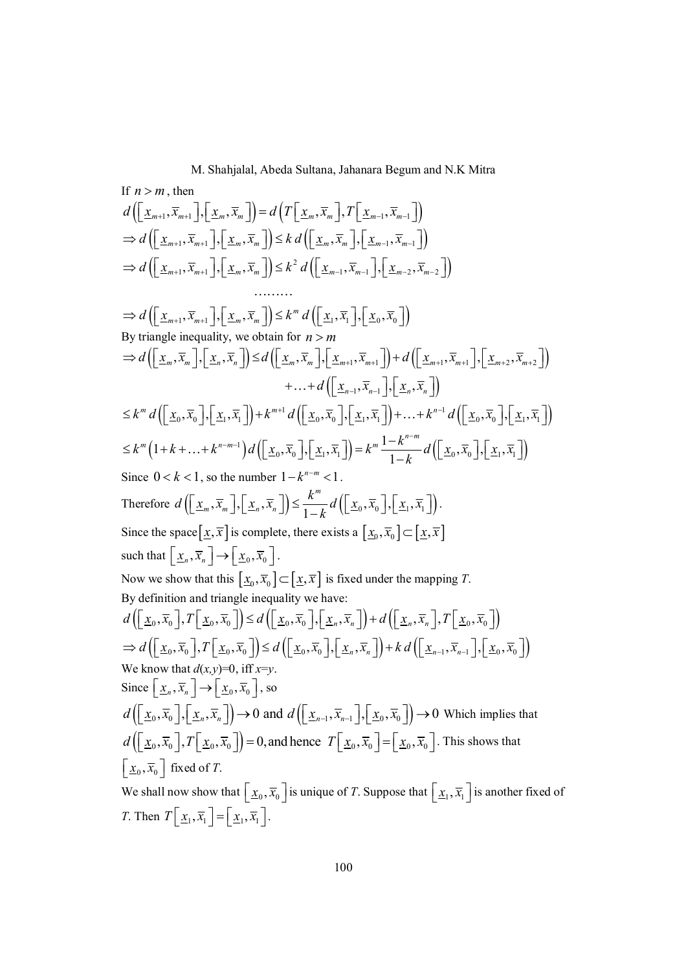If 
$$
n > m
$$
, then  
\n
$$
d\left(\left[\underline{x}_{m+1}, \overline{x}_{m+1}\right], \left[\underline{x}_{m}, \overline{x}_{m}\right]\right) = d\left(T\left[\underline{x}_{m}, \overline{x}_{m}\right], T\left[\underline{x}_{m-1}, \overline{x}_{m-1}\right]\right)
$$
\n
$$
\Rightarrow d\left(\left[\underline{x}_{m+1}, \overline{x}_{m+1}\right], \left[\underline{x}_{m}, \overline{x}_{m}\right]\right) \leq k d\left(\left[\underline{x}_{m}, \overline{x}_{m}\right], \left[\underline{x}_{m-1}, \overline{x}_{m-1}\right]\right)
$$
\n
$$
\Rightarrow d\left(\left[\underline{x}_{m+1}, \overline{x}_{m+1}\right], \left[\underline{x}_{m}, \overline{x}_{m}\right]\right) \leq k^{2} d\left(\left[\underline{x}_{m}, \overline{x}_{m}\right], \left[\underline{x}_{m-2}, \overline{x}_{m-2}\right]\right)
$$
\n
$$
\dots \dots
$$
\n
$$
\Rightarrow d\left(\left[\underline{x}_{m+1}, \overline{x}_{m+1}\right], \left[\underline{x}_{m}, \overline{x}_{m}\right]\right) \leq k^{m} d\left(\left[\underline{x}_{1}, \overline{x}_{1}\right], \left[\underline{x}_{0}, \overline{x}_{0}\right]\right)
$$
\nBy triangle inequality, we obtain for  $n > m$   
\n
$$
\Rightarrow d\left(\left[\underline{x}_{m}, \overline{x}_{m}\right], \left[\underline{x}_{m}, \overline{x}_{m}\right]\right) \leq d\left(\left[\underline{x}_{m}, \overline{x}_{m}\right], \left[\underline{x}_{m+1}, \overline{x}_{m+1}\right]\right) + d\left(\left[\underline{x}_{m+1}, \overline{x}_{m+1}\right], \left[\underline{x}_{m+2}, \overline{x}_{m+2}\right]\right)
$$
\n
$$
+ \dots + d\left(\left[\underline{x}_{n}, \overline{x}_{n}\right], \left[\underline{x}_{n}, \overline{x}_{n}\right]\right) + d\left(\left[\underline{x}_{n}, \overline{x}_{n}\right], \left[\underline{x}_{n}, \overline{x}_{n}\right]\right)
$$
\n
$$
\leq k^{m} d\left(\left[\underline{x}_{0}, \overline{x}_{0}\right], \left[\underline{x}_{1}, \overline{x}\right]\right) + k^{m+1} d\left(\left[\underline{x}_{0}, \overline{x}_{0}\right], \left[\underline{x}_{1}, \over
$$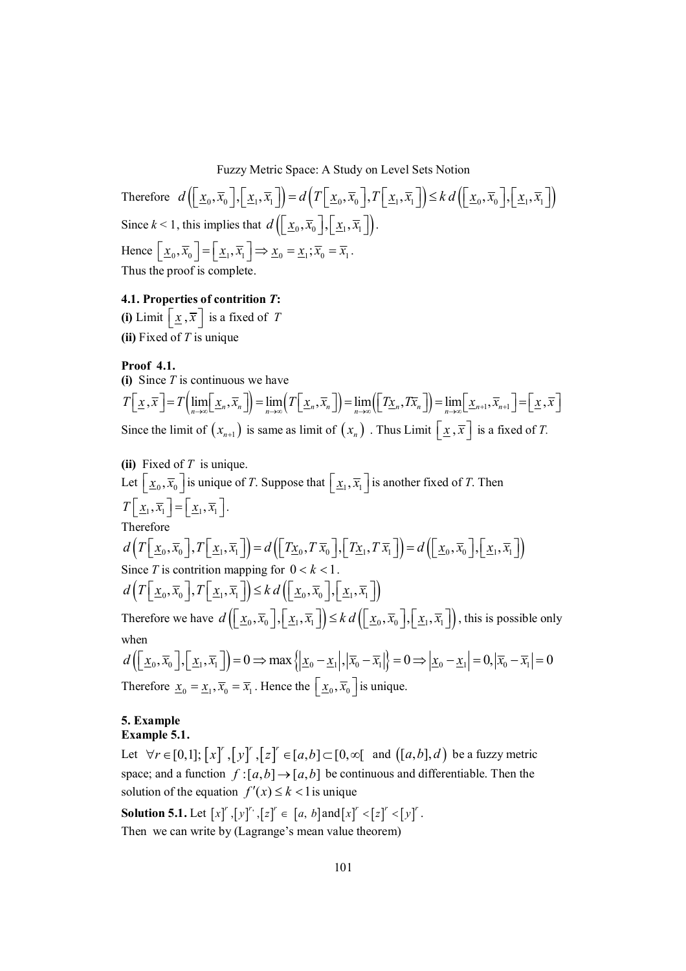Therefore  $d\left(\left[x_0, \overline{x}_0\right], \left[x_1, \overline{x}_1\right]\right) = d\left(T\left[x_0, \overline{x}_0\right], T\left[x_1, \overline{x}_1\right]\right) \leq k d\left(\left[x_0, \overline{x}_0\right], \left[x_1, \overline{x}_1\right]\right)$ Since  $k < 1$ , this implies that  $d\left(\left[\frac{x_0}{x_0}, \overline{x}_0\right], \left[\frac{x_1}{x_1}, \overline{x}_1\right]\right)$ . Hence  $\left[\underline{x}_0, \overline{x}_0\right] = \left[\underline{x}_1, \overline{x}_1\right] \Rightarrow \underline{x}_0 = \underline{x}_1; \overline{x}_0 = \overline{x}_1.$ Thus the proof is complete.

# **4.1. Properties of contrition** *T***:**

**(i)** Limit  $\left[ \underline{x}, \overline{x} \right]$  is a fixed of *T* **(ii)** Fixed of *T* is unique

**Proof 4.1.**

(i) Since *T* is continuous we have  
\n
$$
T[\underline{x}, \overline{x}] = T\left(\lim_{n \to \infty} [\underline{x}_n, \overline{x}_n] \right) = \lim_{n \to \infty} \left( T[\underline{x}_n, \overline{x}_n] \right) = \lim_{n \to \infty} \left( [\underline{Tx}_n, T\overline{x}_n] \right) = \lim_{n \to \infty} [\underline{x}_{n+1}, \overline{x}_{n+1}] = [\underline{x}, \overline{x}]
$$
\nSince the limit of  $(x_{n+1})$  is same as limit of  $(x_n)$ . Thus Limit  $[\underline{x}, \overline{x}]$  is a fixed of *T*.

**(ii)** Fixed of *T* is unique. Let  $\lfloor \underline{x}_0, \overline{x}_0 \rfloor$  is unique of *T*. Suppose that  $\lfloor \underline{x}_1, \overline{x}_1 \rfloor$  is another fixed of *T*. Then  $T\left[\underline{x}_1, \overline{x}_1\right] = \left[\underline{x}_1, \overline{x}_1\right].$ Therefore  $d(T[\underline{x}_0, \overline{x}_0], T[\underline{x}_1, \overline{x}_1]) = d(\overline{[\underline{T}\underline{x}_0, T\overline{x}_0]}, \overline{[\underline{T}\underline{x}_1, T\overline{x}_1]}) = d(\overline{[\underline{x}_0, \overline{x}_0]}, \overline{[\underline{x}_1, \overline{x}_1]})$ Since *T* is contrition mapping for  $0 < k < 1$ .  $d\left(\left.T\left[\right.\underline{x}_{0},\overline{x}_{0}\right],T\left[\right.\underline{x}_{1},\overline{x}_{1}\right]\right)\leq k d\left(\left[\right.\underline{x}_{0},\overline{x}_{0}\right],\left[\right.\underline{x}_{1},\overline{x}_{1}\right]$ Therefore we have  $d\left(\left[\underline{x}_0, \overline{x}_0\right], \left[\underline{x}_1, \overline{x}_1\right]\right) \leq k d\left(\left[\underline{x}_0, \overline{x}_0\right], \left[\underline{x}_1, \overline{x}_1\right]\right)$ , this is possible only when  $d\left(\left[\frac{x}{x_0}, \overline{x}_0\right], \left[\frac{x}{x_1}, \overline{x}_1\right]\right) = 0 \Rightarrow \max\left\{\left|\frac{x}{x_0} - \frac{x}{x_1}\right|, \left|\overline{x}_0 - \overline{x}_1\right|\right\} = 0 \Rightarrow \left|\frac{x}{x_0} - \frac{x}{x_1}\right| = 0, \left|\overline{x}_0 - \overline{x}_1\right| = 0$ Therefore  $\underline{x}_0 = \underline{x}_1, \overline{x}_0 = \overline{x}_1$ . Hence the  $\underline{x}_0, \overline{x}_0$  is unique.

# **5. Example**

# **Example 5.1.**

Let  $\forall r \in [0,1]$ ;  $\left[x\right]^r$ ,  $\left[y\right]^r$ ,  $\left[z\right]^r \in [a,b] \subset [0,\infty[$  and  $\left([a,b],d\right)$  be a fuzzy metric space; and a function  $f:[a,b] \rightarrow [a,b]$  be continuous and differentiable. Then the solution of the equation  $f'(x) \le k < 1$  is unique

**Solution 5.1.** Let  $[x]^r$ ,  $[y]^r$ ,  $[z]^r \in [a, b]$  and  $[x]^r < [z]^r < [y]^r$ . Then we can write by (Lagrange's mean value theorem)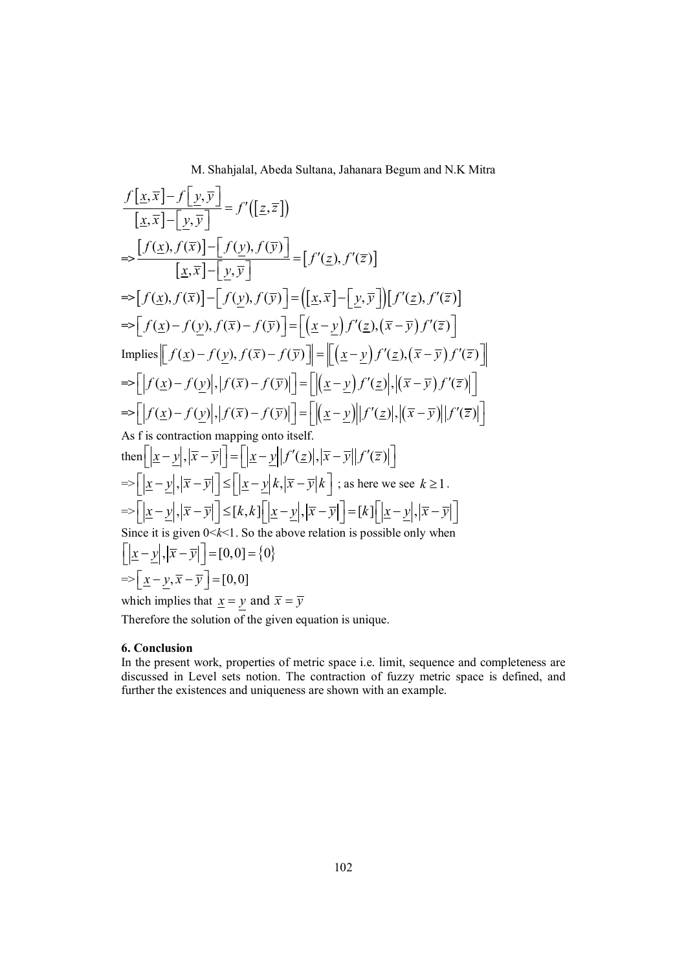$$
\frac{f[x,\overline{x}]-f[y,\overline{y}]}{[x,\overline{x}]-[y,\overline{y}]} = f'([z,\overline{z}])
$$
\n
$$
\Rightarrow \frac{[f(x),f(\overline{x})]-[f(y),f(\overline{y})]}{[x,\overline{x}]-[y,\overline{y}]} = [f'(z),f'(\overline{z})]
$$
\n
$$
\Rightarrow [f(x),f(\overline{x})]-[f(y),f(\overline{y})] = ([x,\overline{x}]-[y,\overline{y}])[f'(z),f'(\overline{z})]
$$
\n
$$
\Rightarrow [f(x)-f(y),f(\overline{x})-f(\overline{y})] = [x-\underline{y}f'(\underline{z}),(\overline{x}-\overline{y})f'(\overline{z})]
$$
\n
$$
\text{Implies } [[f(x)-f(y),f(\overline{x})-f(\overline{y})]] = [[x-\underline{y})f'(\underline{z}),(\overline{x}-\overline{y})f'(\overline{z})]]
$$
\n
$$
\Rightarrow [[f(x)-f(y)],[f(\overline{x})-f(\overline{y})]] = [[x-\underline{y})f'(\underline{z}),[(\overline{x}-\overline{y})f'(\overline{z})]]
$$
\n
$$
\Rightarrow [[f(x)-f(y)],[f(\overline{x})-f(\overline{y})]] = [[x-\underline{y})f'(\underline{z}),[(\overline{x}-\overline{y})f'(\overline{z})]]
$$
\nAs f is contraction mapping onto itself.  
\nthen 
$$
[[x-\underline{y}],|\overline{x}-\overline{y}]] = [[x-\underline{y}||f'(\underline{z}),|\overline{x}-\overline{y}||f'(\overline{z})]]
$$
\n
$$
\Rightarrow [[x-\underline{y}],|\overline{x}-\overline{y}]] \leq [[x-\underline{y}][x',|\overline{x}-\overline{y}][f'(\overline{z})]]
$$
\n
$$
\Rightarrow [[x-\underline{y}],|\overline{x}-\overline{y}]] \leq [[x-\underline{y}][x',|\overline{x}-\overline{y}][f'(\overline{z})]]
$$
\n
$$
\Rightarrow [[x-\underline{y}],|\overline{x}-\overline{y}]] \leq [[x,\underline{y}],|\overline{x}-\overline{y}][\overline{x}-\overline{y}][\overline{x}]\text{ (as there are }k \geq 1.
$$
\n<math display="block</math>

Therefore the solution of the given equation is unique.

#### **6. Conclusion**

In the present work, properties of metric space i.e. limit, sequence and completeness are discussed in Level sets notion. The contraction of fuzzy metric space is defined, and further the existences and uniqueness are shown with an example.